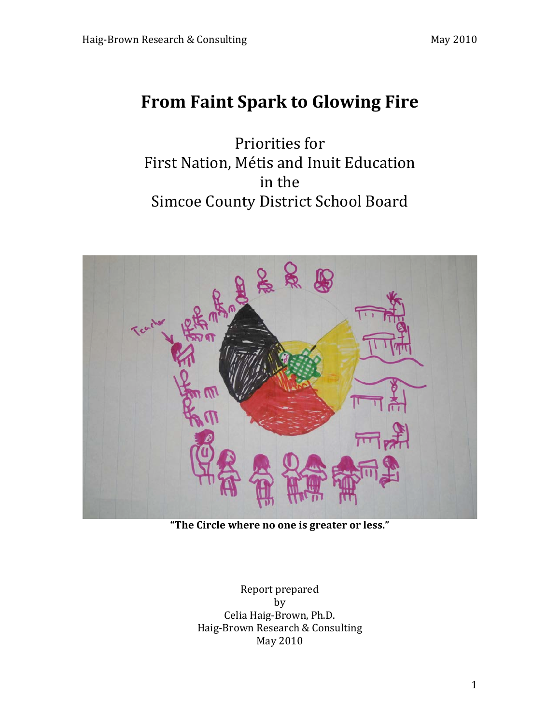# **From Faint Spark to Glowing Fire**

Priorities for First Nation, Métis and Inuit Education in the Simcoe County District School Board



"The Circle where no one is greater or less."

Report prepared by Celia Haig-Brown, Ph.D. Haig-Brown Research & Consulting May+2010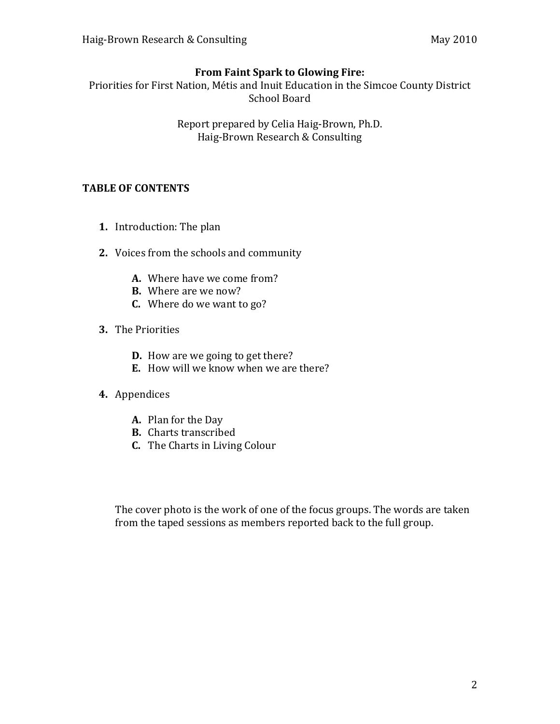#### **From Faint Spark to Glowing Fire:**

Priorities for First Nation, Métis and Inuit Education in the Simcoe County District School Board

> Report prepared by Celia Haig-Brown, Ph.D. Haig-Brown Research & Consulting

#### **TABLE OF CONTENTS**

- **1.** Introduction: The plan
- **2.** Voices from the schools and community
	- **A.** Where have we come from?
	- **B.** Where are we now?
	- **C.** Where do we want to go?
- **3.** The Priorities
	- **D.** How are we going to get there?
	- **E.** How will we know when we are there?

## **4.** Appendices

- **A.** Plan for the Day
- **B.** Charts transcribed
- **C.** The Charts in Living Colour

The cover photo is the work of one of the focus groups. The words are taken from the taped sessions as members reported back to the full group.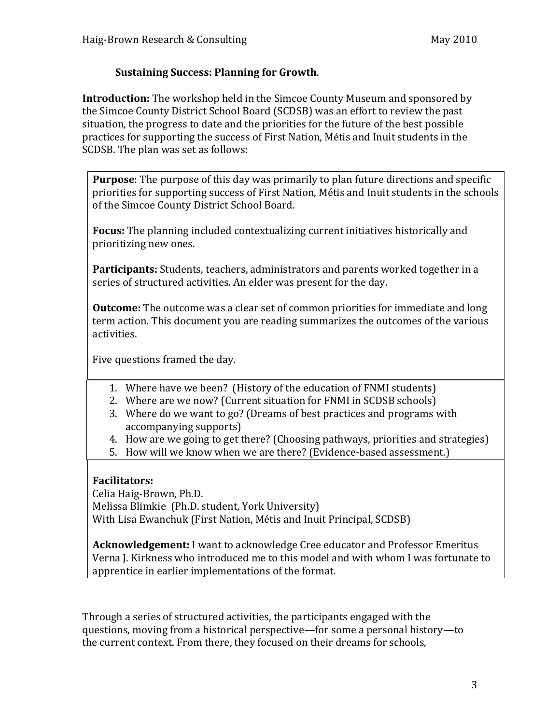## **Sustaining Success: Planning for Growth.**

**Introduction:** The workshop held in the Simcoe County Museum and sponsored by the Simcoe County District School Board (SCDSB) was an effort to review the past situation, the progress to date and the priorities for the future of the best possible practices for supporting the success of First Nation, Métis and Inuit students in the SCDSB. The plan was set as follows:

**Purpose**: The purpose of this day was primarily to plan future directions and specific priorities for supporting success of First Nation, Métis and Inuit students in the schools of the Simcoe County District School Board.

**Focus:** The planning included contextualizing current initiatives historically and prioritizing new ones.

**Participants:** Students, teachers, administrators and parents worked together in a series of structured activities. An elder was present for the day.

**Outcome:** The outcome was a clear set of common priorities for immediate and long term action. This document you are reading summarizes the outcomes of the various activities.

Five questions framed the day.

- 1. Where have we been? (History of the education of FNMI students)
- 2. Where are we now? (Current situation for FNMI in SCDSB schools)
- 3. Where do we want to go? (Dreams of best practices and programs with accompanying supports)
- 4. How are we going to get there? (Choosing pathways, priorities and strategies)
- 5. How will we know when we are there? (Evidence-based assessment.)

## **Facilitators:**

Celia Haig-Brown, Ph.D. Melissa Blimkie (Ph.D. student, York University) With Lisa Ewanchuk (First Nation, Métis and Inuit Principal, SCDSB)

**Acknowledgement:** I want to acknowledge Cree educator and Professor Emeritus Verna J. Kirkness who introduced me to this model and with whom I was fortunate to apprentice in earlier implementations of the format.

Through a series of structured activities, the participants engaged with the questions, moving from a historical perspective—for some a personal history—to the current context. From there, they focused on their dreams for schools,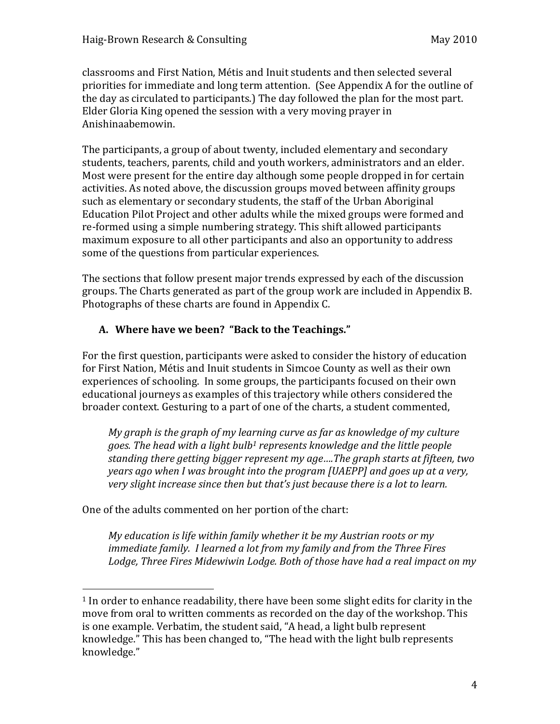classrooms and First Nation, Métis and Inuit students and then selected several priorities for immediate and long term attention. (See Appendix A for the outline of the day as circulated to participants.) The day followed the plan for the most part. Elder Gloria King opened the session with a very moving prayer in Anishinaabemowin.

The participants, a group of about twenty, included elementary and secondary students, teachers, parents, child and youth workers, administrators and an elder. Most were present for the entire day although some people dropped in for certain activities. As noted above, the discussion groups moved between affinity groups such as elementary or secondary students, the staff of the Urban Aboriginal Education Pilot Project and other adults while the mixed groups were formed and re-formed using a simple numbering strategy. This shift allowed participants maximum exposure to all other participants and also an opportunity to address some of the questions from particular experiences.

The sections that follow present major trends expressed by each of the discussion groups. The Charts generated as part of the group work are included in Appendix B. Photographs of these charts are found in Appendix C.

#### A. Where have we been? "Back to the Teachings."

For the first question, participants were asked to consider the history of education for First Nation, Métis and Inuit students in Simcoe County as well as their own experiences of schooling. In some groups, the participants focused on their own educational journeys as examples of this trajectory while others considered the broader context. Gesturing to a part of one of the charts, a student commented,

*My graph is the graph of my learning curve as far as knowledge of my culture* goes. The head with a light bulb<sup>1</sup> represents knowledge and the little people standing there getting bigger represent my age....The graph starts at fifteen, two *years ago when I was brought into the program [UAEPP] and goes up at a very, very slight increase since then but that's just because there is a lot to learn.* 

One of the adults commented on her portion of the chart:

+++++++++++++++++++++++++++++++++++++++++++++++++++++++

*My education is life within family whether it be my Austrian roots or my immediate family. I learned a lot from my family and from the Three Fires* Lodge, Three Fires Midewiwin Lodge. Both of those have had a real impact on my

 $1$  In order to enhance readability, there have been some slight edits for clarity in the move from oral to written comments as recorded on the day of the workshop. This is one example. Verbatim, the student said, "A head, a light bulb represent knowledge." This has been changed to, "The head with the light bulb represents knowledge."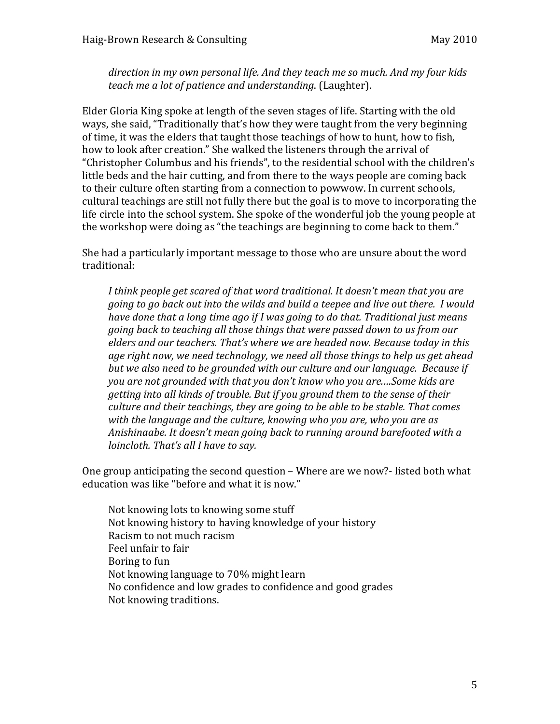*direction in my own personal life. And they teach me so much. And my four kids teach me a lot of patience and understanding.* (Laughter).

Elder Gloria King spoke at length of the seven stages of life. Starting with the old ways, she said, "Traditionally that's how they were taught from the very beginning of time, it was the elders that taught those teachings of how to hunt, how to fish, how to look after creation." She walked the listeners through the arrival of "Christopher Columbus and his friends", to the residential school with the children's little beds and the hair cutting, and from there to the ways people are coming back to their culture often starting from a connection to powwow. In current schools, cultural teachings are still not fully there but the goal is to move to incorporating the life circle into the school system. She spoke of the wonderful job the young people at the workshop were doing as "the teachings are beginning to come back to them."

She had a particularly important message to those who are unsure about the word traditional:

*I think people get scared of that word traditional. It doesn't mean that you are going to go back out into the wilds and build a teepee and live out there. I would have done that a long time ago if I was going to do that. Traditional just means going back to teaching all those things that were passed down to us from our elders and our teachers. That's where we are headed now. Because today in this* age right now, we need technology, we need all those things to help us get ahead but we also need to be grounded with our culture and our language. Because if *you are not grounded with that you don't know who you are....Some kids are getting into all kinds of trouble. But if you ground them to the sense of their culture and their teachings, they are going to be able to be stable. That comes* with the language and the culture, knowing who you are, who you are as Anishinaabe. It doesn't mean going back to running around barefooted with a *loincloth. That's all I have to say.* 

One group anticipating the second question – Where are we now?-listed both what education was like "before and what it is now."

Not knowing lots to knowing some stuff Not knowing history to having knowledge of your history Racism to not much racism Feel unfair to fair Boring to fun Not knowing language to 70% might learn No confidence and low grades to confidence and good grades Not knowing traditions.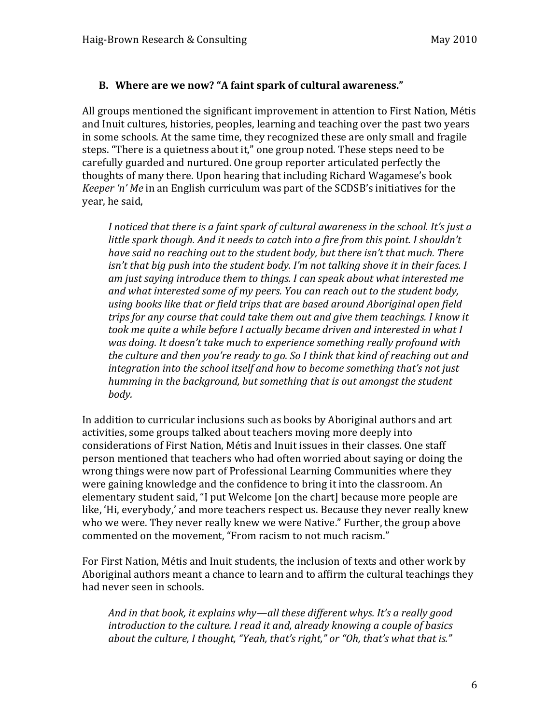#### **B.** Where are we now? "A faint spark of cultural awareness."

All groups mentioned the significant improvement in attention to First Nation, Métis and Inuit cultures, histories, peoples, learning and teaching over the past two years in some schools. At the same time, they recognized these are only small and fragile steps. "There is a quietness about it," one group noted. These steps need to be carefully guarded and nurtured. One group reporter articulated perfectly the thoughts of many there. Upon hearing that including Richard Wagamese's book *Keeper 'n' Me* in an English curriculum was part of the SCDSB's initiatives for the year, he said,

I noticed that there is a faint spark of cultural awareness in the school. It's just a *little spark though. And it needs to catch into a fire from this point. I shouldn't have#said#no#reaching#out#to#the#student#body,#but#there#isn't#that#much.#There# isn't that big push into the student body. I'm not talking shove it in their faces. I* am just saying introduce them to things. I can speak about what interested me and what interested some of my peers. You can reach out to the student body, using books like that or field trips that are based around Aboriginal open field *trips for any course that could take them out and give them teachings. I know it took me quite a while before I actually became driven and interested in what I was doing. It doesn't take much to experience something really profound with the culture and then you're ready to go. So I think that kind of reaching out and integration into the school itself and how to become something that's not just humming in the background, but something that is out amongst the student body.*

In addition to curricular inclusions such as books by Aboriginal authors and art activities, some groups talked about teachers moving more deeply into considerations of First Nation, Métis and Inuit issues in their classes. One staff person mentioned that teachers who had often worried about saying or doing the wrong things were now part of Professional Learning Communities where they were gaining knowledge and the confidence to bring it into the classroom. An elementary student said, "I put Welcome [on the chart] because more people are like, 'Hi, everybody,' and more teachers respect us. Because they never really knew who we were. They never really knew we were Native." Further, the group above commented on the movement, "From racism to not much racism."

For First Nation, Métis and Inuit students, the inclusion of texts and other work by Aboriginal authors meant a chance to learn and to affirm the cultural teachings they had never seen in schools.

And in that book, it explains why—all these different whys. It's a really good *introduction to the culture. I read it and, already knowing a couple of basics about the culture, I thought, "Yeah, that's right," or "Oh, that's what that is."*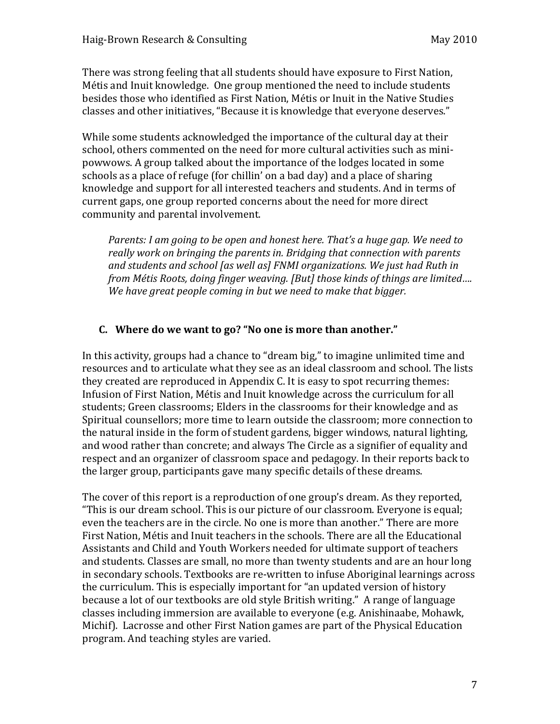There was strong feeling that all students should have exposure to First Nation, Métis and Inuit knowledge. One group mentioned the need to include students besides those who identified as First Nation, Métis or Inuit in the Native Studies classes and other initiatives, "Because it is knowledge that everyone deserves."

While some students acknowledged the importance of the cultural day at their school, others commented on the need for more cultural activities such as minipowwows. A group talked about the importance of the lodges located in some schools as a place of refuge (for chillin' on a bad day) and a place of sharing knowledge and support for all interested teachers and students. And in terms of current gaps, one group reported concerns about the need for more direct community and parental involvement.

*Parents: I am going to be open and honest here. That's a huge gap. We need to* really work on bringing the parents in. Bridging that connection with parents and students and school *[as well as] FNMI organizations. We just had Ruth in from Métis Roots, doing finger weaving. [But] those kinds of things are limited.... We have great people coming in but we need to make that bigger.* 

#### **C.** Where do we want to go? "No one is more than another."

In this activity, groups had a chance to "dream big," to imagine unlimited time and resources and to articulate what they see as an ideal classroom and school. The lists they created are reproduced in Appendix C. It is easy to spot recurring themes: Infusion of First Nation, Métis and Inuit knowledge across the curriculum for all students; Green classrooms; Elders in the classrooms for their knowledge and as Spiritual counsellors; more time to learn outside the classroom; more connection to the natural inside in the form of student gardens, bigger windows, natural lighting, and wood rather than concrete; and always The Circle as a signifier of equality and respect and an organizer of classroom space and pedagogy. In their reports back to the larger group, participants gave many specific details of these dreams.

The cover of this report is a reproduction of one group's dream. As they reported, "This is our dream school. This is our picture of our classroom. Everyone is equal; even the teachers are in the circle. No one is more than another." There are more First Nation, Métis and Inuit teachers in the schools. There are all the Educational Assistants and Child and Youth Workers needed for ultimate support of teachers and students. Classes are small, no more than twenty students and are an hour long in secondary schools. Textbooks are re-written to infuse Aboriginal learnings across the curriculum. This is especially important for "an updated version of history because a lot of our textbooks are old style British writing." A range of language classes including immersion are available to everyone (e.g. Anishinaabe, Mohawk, Michif). Lacrosse and other First Nation games are part of the Physical Education program. And teaching styles are varied.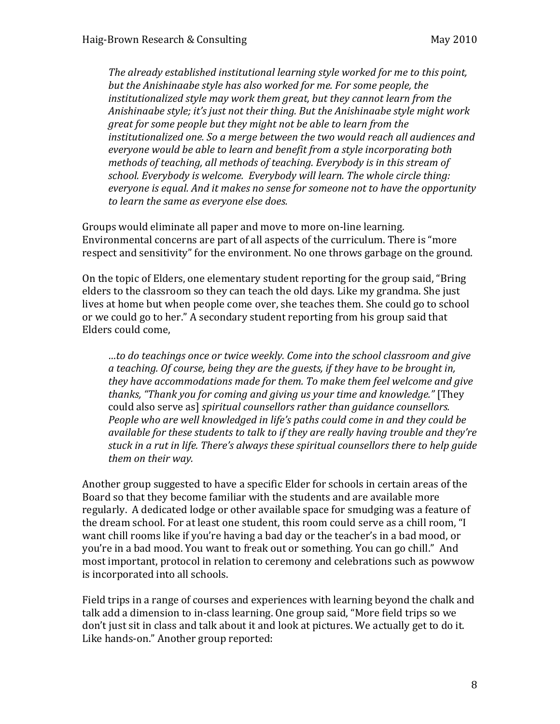*The already established institutional learning style worked for me to this point,* but the Anishinaabe style has also worked for me. For some people, the *institutionalized style may work them great, but they cannot learn from the* Anishinaabe style; it's just not their thing. But the Anishinaabe style might work *great for some people but they might not be able to learn from the* institutionalized one. So a merge between the two would reach all audiences and *everyone would be able to learn and benefit from a style incorporating both methods of teaching, all methods of teaching. Everybody is in this stream of school.#Everybody#is#welcome.##Everybody#will#learn.#The#whole#circle#thing:# everyone is equal. And it makes no sense for someone not to have the opportunity* to learn the same as everyone else does.

Groups would eliminate all paper and move to more on-line learning. Environmental concerns are part of all aspects of the curriculum. There is "more respect and sensitivity" for the environment. No one throws garbage on the ground.

On the topic of Elders, one elementary student reporting for the group said, "Bring" elders to the classroom so they can teach the old days. Like my grandma. She just lives at home but when people come over, she teaches them. She could go to school or we could go to her." A secondary student reporting from his group said that Elders could come,

*…to#do#teachings#once#or#twice#weekly.#Come#into#the#school classroom#and#give#* a teaching. Of course, being they are the guests, if they have to be brought in, they have accommodations made for them. To make them feel welcome and give *thanks, "Thank you for coming and giving us your time and knowledge."* [They could also serve as] *spiritual counsellors rather than guidance counsellors. People who are well knowledged in life's paths could come in and they could be* available for these students to talk to if they are really having trouble and they're stuck in a rut in life. There's always these spiritual counsellors there to help guide them on their way.

Another group suggested to have a specific Elder for schools in certain areas of the Board so that they become familiar with the students and are available more regularly. A dedicated lodge or other available space for smudging was a feature of the dream school. For at least one student, this room could serve as a chill room, "I want chill rooms like if you're having a bad day or the teacher's in a bad mood, or you're in a bad mood. You want to freak out or something. You can go chill." And most important, protocol in relation to ceremony and celebrations such as powwow is incorporated into all schools.

Field trips in a range of courses and experiences with learning beyond the chalk and talk add a dimension to in-class learning. One group said, "More field trips so we don't just sit in class and talk about it and look at pictures. We actually get to do it. Like hands-on." Another group reported: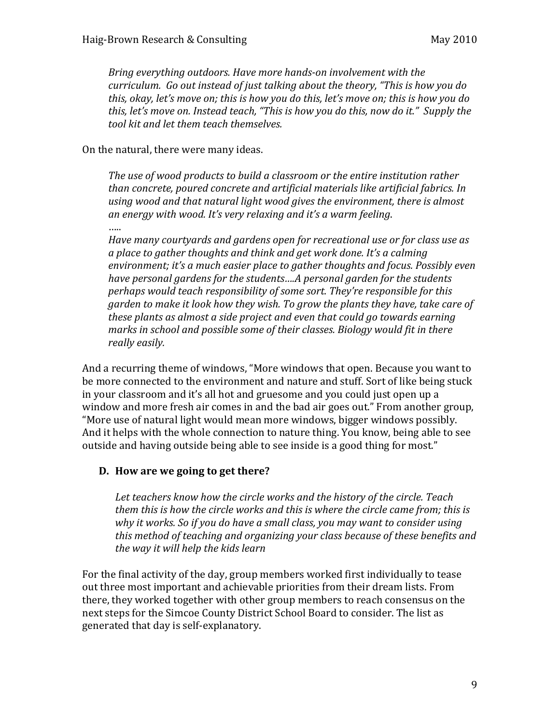*Bring everything outdoors. Have more hands-on involvement with the curriculum. Go out instead of just talking about the theory, "This is how you do this,#okay,#let's#move#on;#this#is#how#you#do#this,#let's#move#on;#this#is#how#you#do#* this, let's move on. Instead teach, "This is how you do this, now do it." Supply the  $t$ ool kit and let them teach themselves.

#### On the natural, there were many ideas.

*The use of wood products to build a classroom or the entire institution rather* than concrete, poured concrete and artificial materials like artificial fabrics. In using wood and that natural light wood gives the environment, there is almost an energy with wood. It's very relaxing and it's a warm feeling. ……

Have many courtyards and gardens open for recreational use or for class use as a place to gather thoughts and think and get work done. It's a calming environment; it's a much easier place to gather thoughts and focus. Possibly even have personal gardens for the students....A personal garden for the students *perhaps would teach responsibility of some sort. They're responsible for this* garden to make it look how they wish. To grow the plants they have, take care of *these plants as almost a side project and even that could go towards earning marks in school and possible some of their classes. Biology would fit in there* really easily.

And a recurring theme of windows, "More windows that open. Because you want to be more connected to the environment and nature and stuff. Sort of like being stuck in your classroom and it's all hot and gruesome and you could just open up a window and more fresh air comes in and the bad air goes out." From another group, "More use of natural light would mean more windows, bigger windows possibly. And it helps with the whole connection to nature thing. You know, being able to see outside and having outside being able to see inside is a good thing for most."

#### **D.** How are we going to get there?

Let teachers know how the circle works and the history of the circle. Teach them this is how the circle works and this is where the circle came from; this is *why it works. So if you do have a small class, you may want to consider using* this method of teaching and organizing your class because of these benefits and the way it will help the kids learn

For the final activity of the day, group members worked first individually to tease out three most important and achievable priorities from their dream lists. From there, they worked together with other group members to reach consensus on the next steps for the Simcoe County District School Board to consider. The list as generated that day is self-explanatory.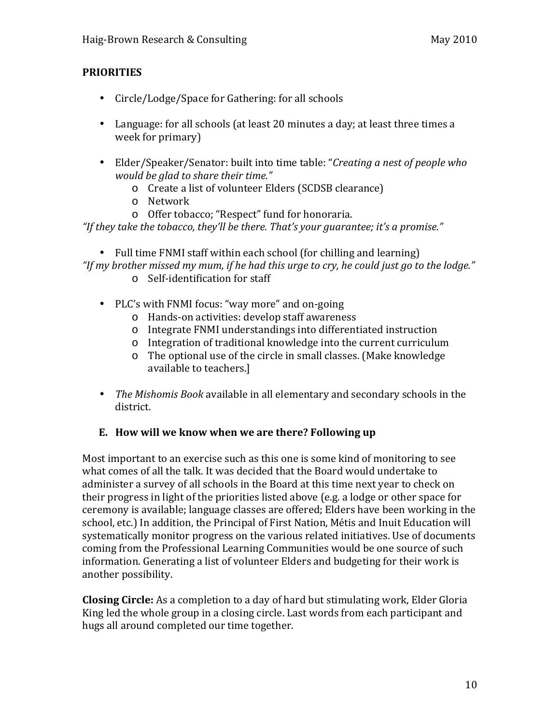## **PRIORITIES**

- Circle/Lodge/Space for Gathering: for all schools
- Language: for all schools (at least 20 minutes a day; at least three times a week for primary)
- Elder/Speaker/Senator: built into time table: "*Creating a nest of people who would be glad to share their time."* 
	- o Create a list of volunteer Elders (SCDSB clearance)
	- o Network
	- o Offer tobacco; "Respect" fund for honoraria.

"If they take the tobacco, they'll be there. That's your guarantee; it's a promise."

- Full time FNMI staff within each school (for chilling and learning) "If my brother missed my mum, if he had this urge to cry, he could just go to the lodge."
	- o Self-identification for staff
	- PLC's with FNMI focus: "way more" and on-going
		- o Hands-on activities: develop staff awareness
		- o Integrate FNMI understandings into differentiated instruction
		- o Integration of traditional knowledge into the current curriculum
		- $\circ$  The optional use of the circle in small classes. (Make knowledge) available to teachers.]
	- *The Mishomis Book* available in all elementary and secondary schools in the district.

## **E.** How will we know when we are there? Following up

Most important to an exercise such as this one is some kind of monitoring to see what comes of all the talk. It was decided that the Board would undertake to administer a survey of all schools in the Board at this time next year to check on their progress in light of the priorities listed above (e.g. a lodge or other space for ceremony is available; language classes are offered; Elders have been working in the school, etc.) In addition, the Principal of First Nation, Métis and Inuit Education will systematically monitor progress on the various related initiatives. Use of documents coming from the Professional Learning Communities would be one source of such information. Generating a list of volunteer Elders and budgeting for their work is another possibility.

**Closing Circle:** As a completion to a day of hard but stimulating work, Elder Gloria King led the whole group in a closing circle. Last words from each participant and hugs all around completed our time together.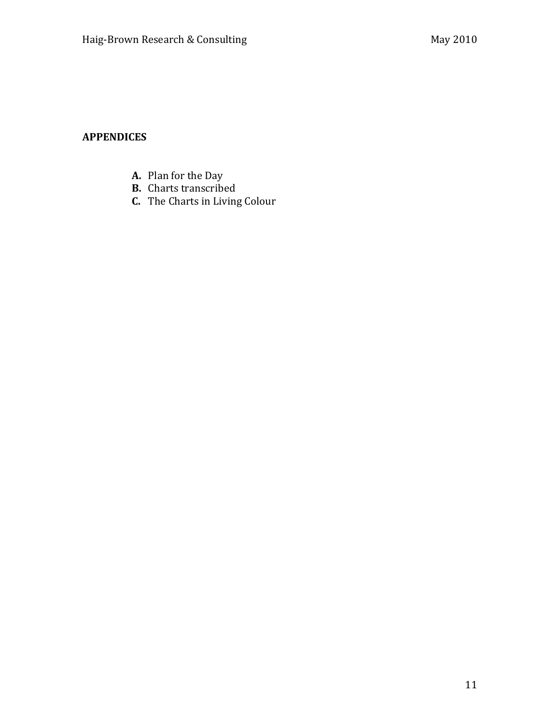## **APPENDICES**

- A. Plan for the Day
- **B.** Charts transcribed
- C. The Charts in Living Colour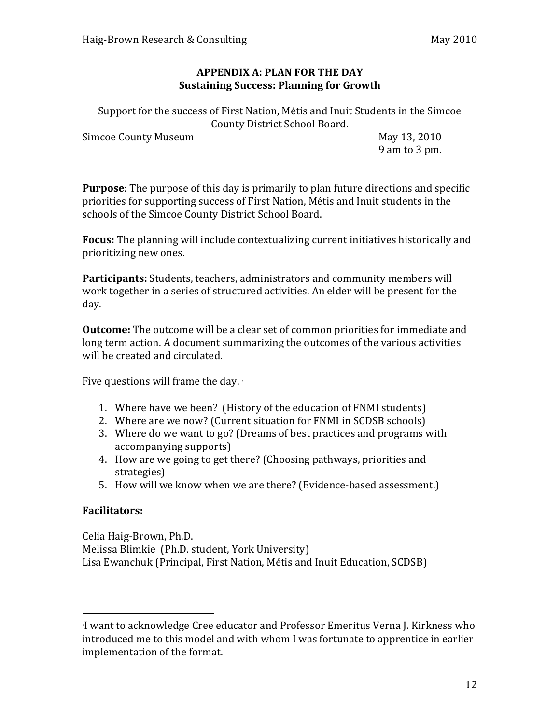#### **APPENDIX A: PLAN FOR THE DAY Sustaining Success: Planning for Growth**

Support for the success of First Nation, Métis and Inuit Students in the Simcoe County District School Board.

Simcoe County Museum May 13, 2010

9 am to 3 pm.

**Purpose**: The purpose of this day is primarily to plan future directions and specific priorities for supporting success of First Nation, Métis and Inuit students in the schools of the Simcoe County District School Board.

**Focus:** The planning will include contextualizing current initiatives historically and prioritizing new ones.

**Participants:** Students, teachers, administrators and community members will work together in a series of structured activities. An elder will be present for the day.

**Outcome:** The outcome will be a clear set of common priorities for immediate and long term action. A document summarizing the outcomes of the various activities will be created and circulated.

Five questions will frame the day. ∗

- 1. Where have we been? (History of the education of FNMI students)
- 2. Where are we now? (Current situation for FNMI in SCDSB schools)
- 3. Where do we want to go? (Dreams of best practices and programs with accompanying supports)
- 4. How are we going to get there? (Choosing pathways, priorities and strategies)
- 5. How will we know when we are there? (Evidence-based assessment.)

## **Facilitators:**

 $+\frac{1}{2}$  +  $+\frac{1}{2}$  +  $+\frac{1}{2}$  +  $+\frac{1}{2}$  +  $+\frac{1}{2}$  +  $+\frac{1}{2}$  +  $+\frac{1}{2}$ 

Celia Haig-Brown, Ph.D. Melissa Blimkie (Ph.D. student, York University) Lisa Ewanchuk (Principal, First Nation, Métis and Inuit Education, SCDSB)

<sup>∙</sup>I want to acknowledge Cree educator and Professor Emeritus Verna J. Kirkness who introduced me to this model and with whom I was fortunate to apprentice in earlier implementation of the format.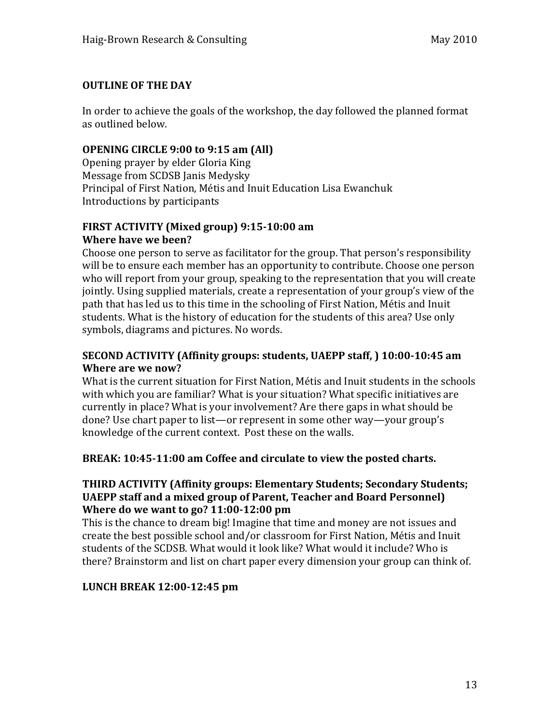## **OUTLINE OF THE DAY**

In order to achieve the goals of the workshop, the day followed the planned format as outlined below.

#### **OPENING CIRCLE 9:00 to 9:15 am (All)**

Opening prayer by elder Gloria King Message from SCDSB Janis Medysky Principal of First Nation, Métis and Inuit Education Lisa Ewanchuk Introductions by participants

#### FIRST ACTIVITY (Mixed group) 9:15-10:00 am **Where have we been?**

Choose one person to serve as facilitator for the group. That person's responsibility will be to ensure each member has an opportunity to contribute. Choose one person who will report from your group, speaking to the representation that you will create jointly. Using supplied materials, create a representation of your group's view of the path that has led us to this time in the schooling of First Nation, Métis and Inuit students. What is the history of education for the students of this area? Use only symbols, diagrams and pictures. No words.

#### **SECOND ACTIVITY (Affinity groups: students, UAEPP staff, ) 10:00-10:45 am Where are we now?**

What is the current situation for First Nation, Métis and Inuit students in the schools with which you are familiar? What is your situation? What specific initiatives are currently in place? What is your involvement? Are there gaps in what should be done? Use chart paper to list—or represent in some other way—your group's knowledge of the current context. Post these on the walls.

#### **BREAK: 10:45-11:00 am Coffee and circulate to view the posted charts.**

#### **THIRD ACTIVITY (Affinity groups: Elementary Students; Secondary Students; UAEPP staff and a mixed group of Parent, Teacher and Board Personnel) Where do we want to go? 11:00-12:00 pm**

This is the chance to dream big! Imagine that time and money are not issues and create the best possible school and/or classroom for First Nation, Métis and Inuit students of the SCDSB. What would it look like? What would it include? Who is there? Brainstorm and list on chart paper every dimension your group can think of.

## **LUNCH%BREAK%12:00\12:45%pm**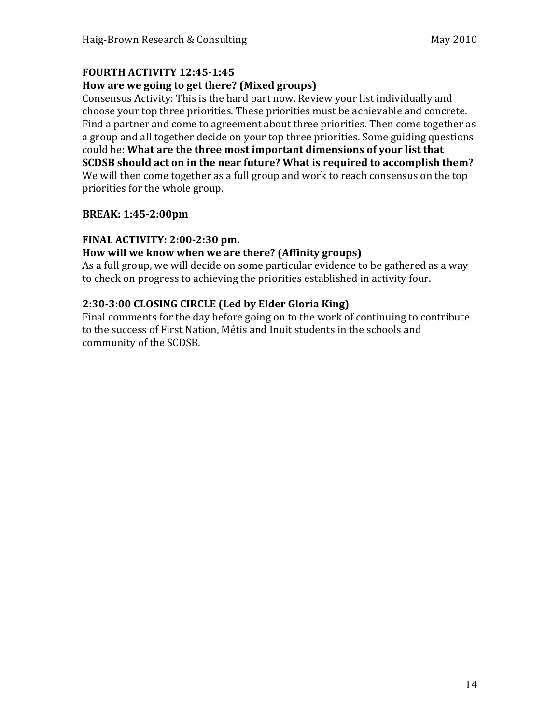## **FOURTH%ACTIVITY%12:45\1:45**

#### How are we going to get there? (Mixed groups)

Consensus Activity: This is the hard part now. Review your list individually and choose your top three priorities. These priorities must be achievable and concrete. Find a partner and come to agreement about three priorities. Then come together as a group and all together decide on your top three priorities. Some guiding questions could be: What are the three most important dimensions of your list that **SCDSB should act on in the near future? What is required to accomplish them?** We will then come together as a full group and work to reach consensus on the top priorities for the whole group.

#### **BREAK: 1:45-2:00pm**

#### **FINAL ACTIVITY: 2:00-2:30 pm.**

#### How will we know when we are there? (Affinity groups)

As a full group, we will decide on some particular evidence to be gathered as a way to check on progress to achieving the priorities established in activity four.

## **2:30\3:00%CLOSING%CIRCLE%(Led%by%Elder%Gloria%King)**

Final comments for the day before going on to the work of continuing to contribute to the success of First Nation, Métis and Inuit students in the schools and community of the SCDSB.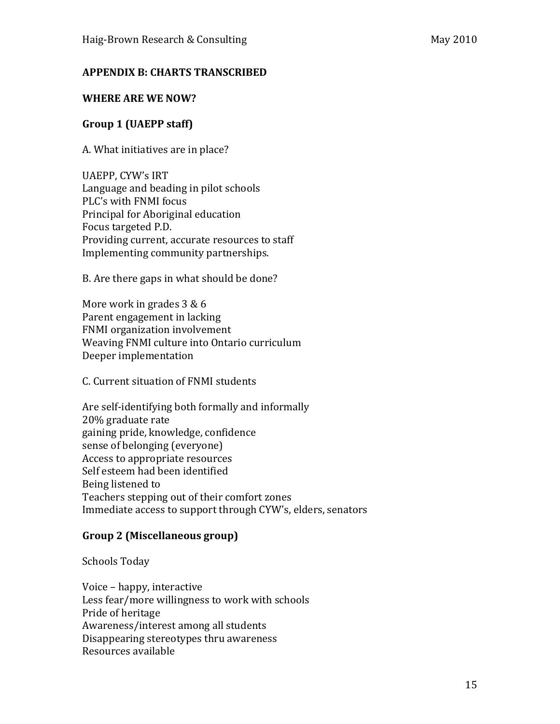#### **APPENDIX B: CHARTS TRANSCRIBED**

#### **WHERE ARE WE NOW?**

#### **Group%1%(UAEPP%staff)**

A. What initiatives are in place?

UAEPP, CYW's IRT Language and beading in pilot schools PLC's with FNMI focus Principal for Aboriginal education Focus targeted P.D. Providing current, accurate resources to staff Implementing community partnerships.

B. Are there gaps in what should be done?

More work in grades  $3&6$ Parent engagement in lacking FNMI organization involvement Weaving FNMI culture into Ontario curriculum Deeper implementation

C. Current situation of FNMI students

Are self-identifying both formally and informally 20% graduate rate gaining pride, knowledge, confidence sense of belonging (everyone) Access to appropriate resources Self esteem had been identified Being listened to Teachers stepping out of their comfort zones Immediate access to support through CYW's, elders, senators

#### **Group%2%(Miscellaneous%group)**

Schools Today

Voice – happy, interactive Less fear/more willingness to work with schools Pride of heritage Awareness/interest among all students Disappearing stereotypes thru awareness Resources+available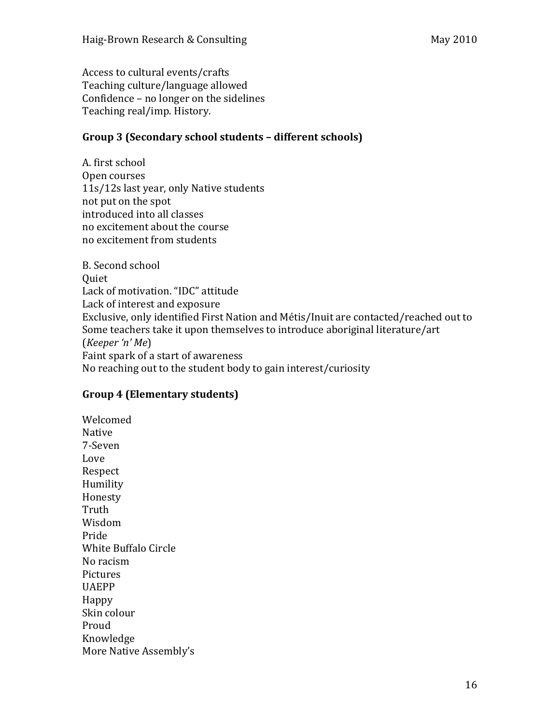Access to cultural events/crafts Teaching culture/language allowed Confidence – no longer on the sidelines Teaching real/imp. History.

#### Group 3 (Secondary school students – different schools)

A. first school Open courses 11s/12s last year, only Native students not put on the spot introduced into all classes no excitement about the course no excitement from students

B. Second school **Ouiet** Lack of motivation. "IDC" attitude Lack of interest and exposure Exclusive, only identified First Nation and Métis/Inuit are contacted/reached out to Some teachers take it upon themselves to introduce aboriginal literature/art (*Keeper'n' Me*) Faint spark of a start of awareness No reaching out to the student body to gain interest/curiosity

## **Group 4 (Elementary students)**

Welcomed Native 7-Seven Love Respect Humility Honesty Truth Wisdom Pride White Buffalo Circle No racism Pictures UAEPP Happy Skin colour Proud Knowledge More Native Assembly's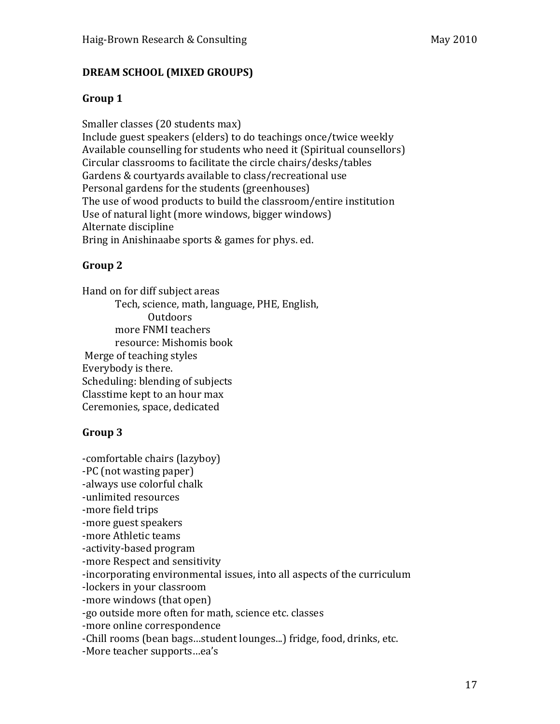# Group 1

Smaller classes (20 students max) Include guest speakers (elders) to do teachings once/twice weekly Available counselling for students who need it (Spiritual counsellors) Circular classrooms to facilitate the circle chairs/desks/tables Gardens & courtyards available to class/recreational use Personal gardens for the students (greenhouses) The use of wood products to build the classroom/entire institution Use of natural light (more windows, bigger windows) Alternate discipline Bring in Anishinaabe sports & games for phys. ed.

# Group 2

Hand on for diff subject areas Tech, science, math, language, PHE, English, **Outdoors** more FNMI teachers resource: Mishomis book Merge of teaching styles Everybody is there. Scheduling: blending of subjects Classtime kept to an hour max Ceremonies, space, dedicated

# Group 3

-comfortable chairs (lazyboy) -PC (not wasting paper) -always use colorful chalk -unlimited resources -more field trips -more guest speakers -more Athletic teams -activity-based program -more Respect and sensitivity -incorporating environmental issues, into all aspects of the curriculum -lockers in your classroom -more windows (that open) -go outside more often for math, science etc. classes -more online correspondence -Chill rooms (bean bags...student lounges...) fridge, food, drinks, etc. -More teacher supports…ea's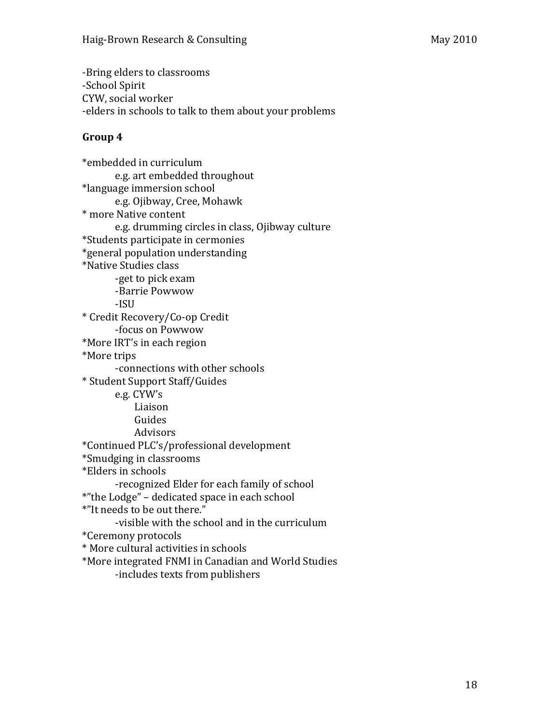-Bring elders to classrooms -School Spirit CYW, social worker -elders in schools to talk to them about your problems

#### Group 4

\*embedded in curriculum e.g. art embedded throughout \*language immersion school e.g.+Ojibway,+Cree,+Mohawk \* more Native content e.g. drumming circles in class, Ojibway culture \*Students participate in cermonies \*general population understanding \*Native Studies class -get to pick exam -Barrie Powwow -ISU \* Credit Recovery/Co-op Credit -focus on Powwow \*More IRT's in each region \*More trips -connections with other schools \* Student Support Staff/Guides e.g. CYW's Liaison Guides Advisors \*Continued+PLC's/professional+development \*Smudging in classrooms \*Elders in schools -recognized Elder for each family of school \*"the Lodge" – dedicated space in each school \*"It needs to be out there." -visible with the school and in the curriculum \*Ceremony+protocols \* More cultural activities in schools \*More integrated FNMI in Canadian and World Studies -includes texts from publishers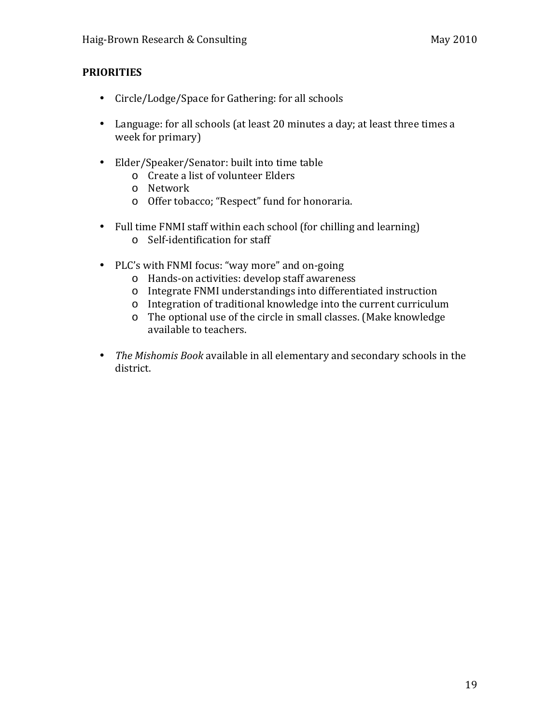## **PRIORITIES**

- Circle/Lodge/Space for Gathering: for all schools
- Language: for all schools (at least 20 minutes a day; at least three times a week for primary)
- Elder/Speaker/Senator: built into time table
	- o Create a list of volunteer Elders
	- o Network
	- o Offer tobacco; "Respect" fund for honoraria.
- Full time  $FNMI$  staff within each school (for chilling and learning) o Self-identification for staff
- PLC's with FNMI focus: "way more" and on-going
	- o Hands-on activities: develop staff awareness
	- o Integrate FNMI understandings into differentiated instruction
	- o Integration of traditional knowledge into the current curriculum
	- o The optional use of the circle in small classes. (Make knowledge available to teachers.
- The Mishomis Book available in all elementary and secondary schools in the district.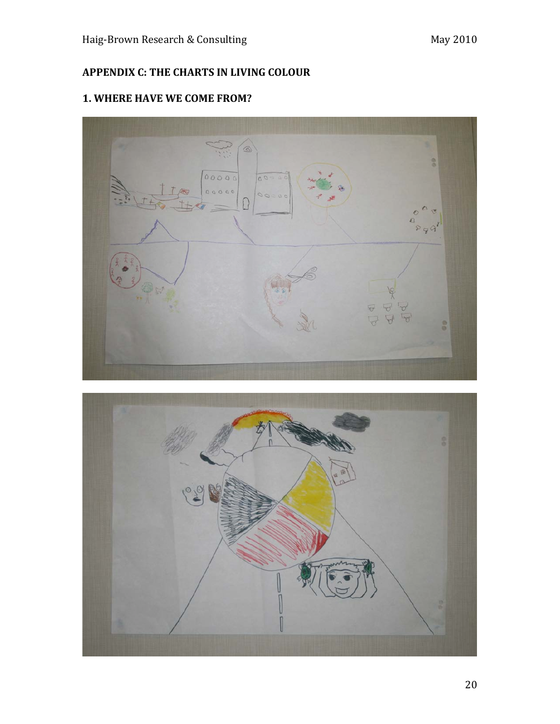# **APPENDIX C: THE CHARTS IN LIVING COLOUR**

# **1. WHERE HAVE WE COME FROM?**



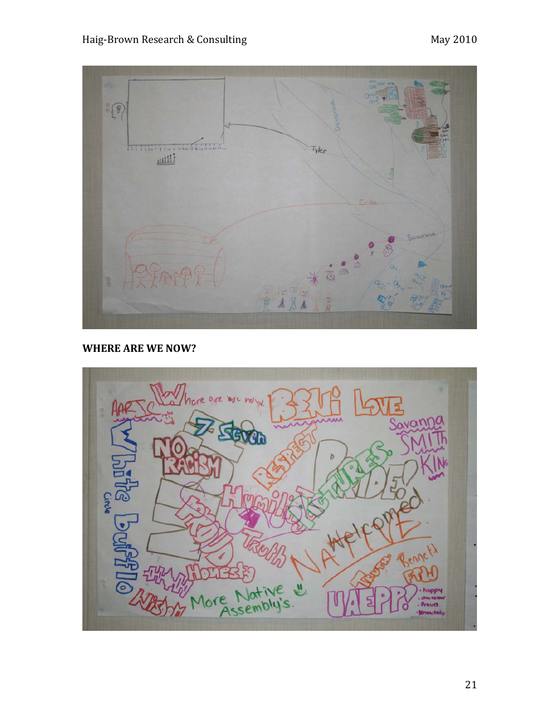

**WHERE ARE WE NOW?** 

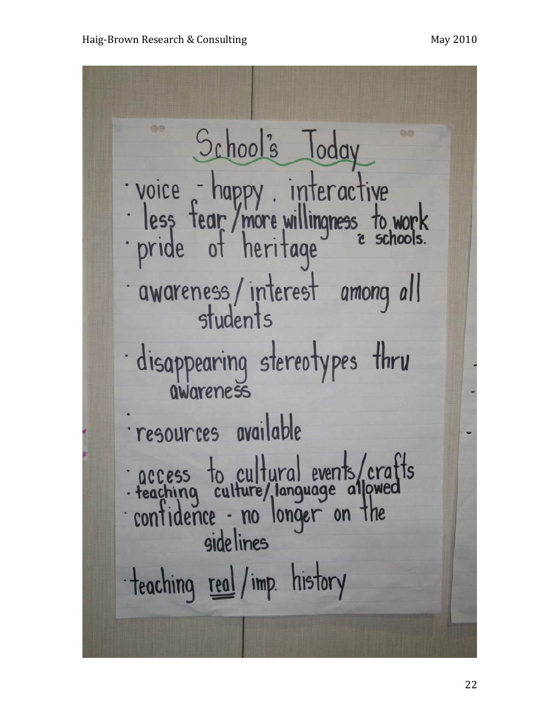School's Today voice - happy . interactive<br>· less fear / more willingness to work<br>· pride of heritage " schools. awareness/interest among all · disappearing stereotypes thru awareness resources available access to cultural events/crafts<br>reaching culture/language allowed<br>confidence - no longer on the<br>sidelines teaching real / imp. history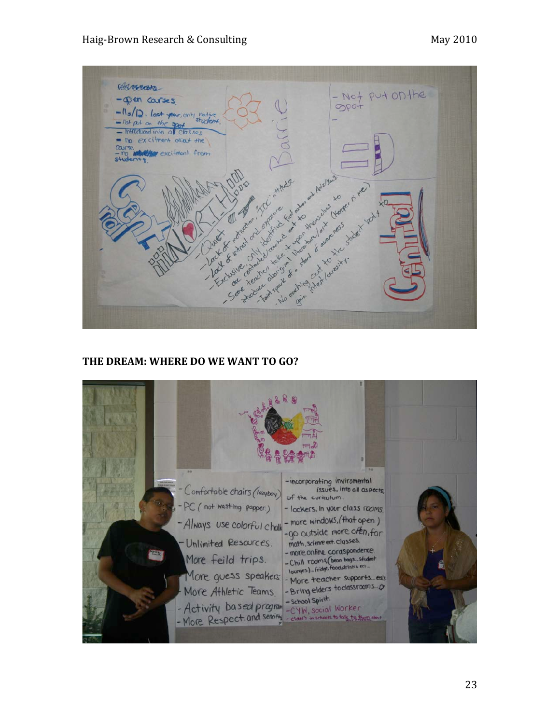

#### **THE DREAM: WHERE DO WE WANT TO GO?**

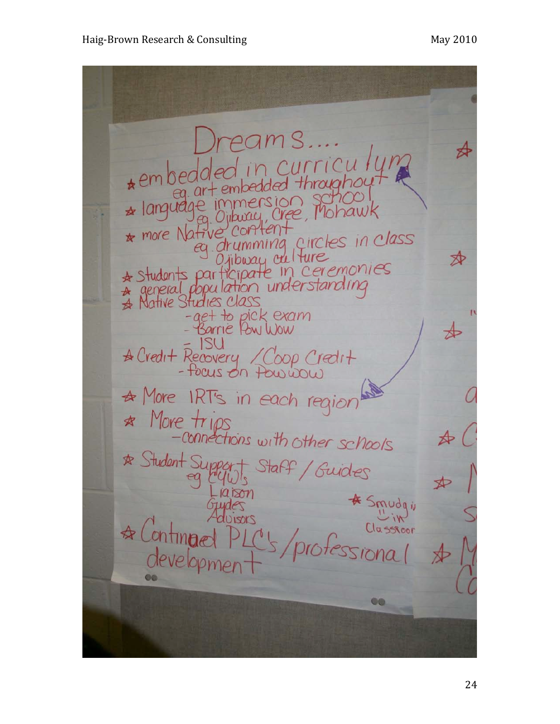amS. curricu II<br>ed throughour ≴  $*$ embedde ion school<br>Jree, Mohawk  $\star$  langual  $*$  more  $N$ ati circles in class ≴⊵ \* Students participate in ceremonies \* Native Studies C -get to pick exam<br>- Barrie Pow Wow A Credit Recovery / Coop Credit A More IRT's in each region \* More trips<br>-connections with other schools \* Student Suppo Staff / Guides<br>1 \* Smudgin DISOLS  $t$ essional **CO**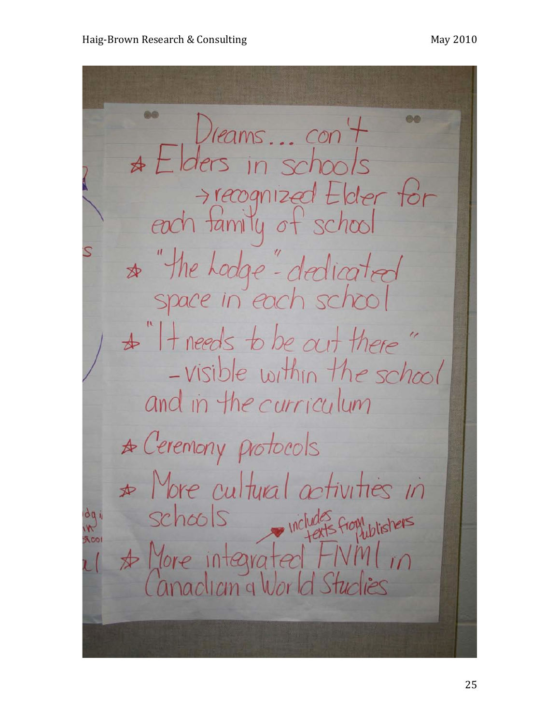$D$ reams... con  $+$  $*$  Elders in schools recognized Elder for<br>each family of school \* "the hodge"-dedicated  $\star$  "It needs to be out there" -visible within the school and in the curriculum A Ceremony protocols  $\star$  More cultural activities in schools includes from whishers dq \* More integrated FIVM anaclian a Wor Id Studies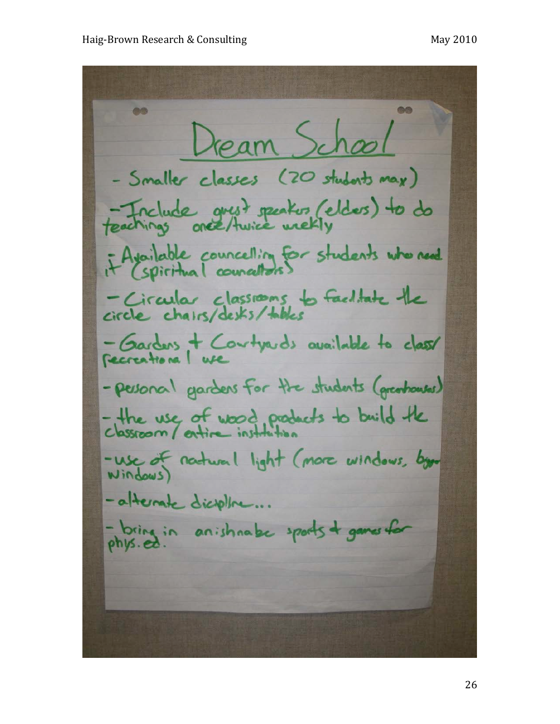Dream School - Smaller classes (20 students may) Feachings are thusice weekly if Available councelling for students who need - Circular classions to faciliate the - Gardens + Contra de available to class - personal gardens for the students (greateness) - the use of wood products to build the -use of natural light (more windows, bgr - afternate dicrothe... - bring in anishnabe sports + games for